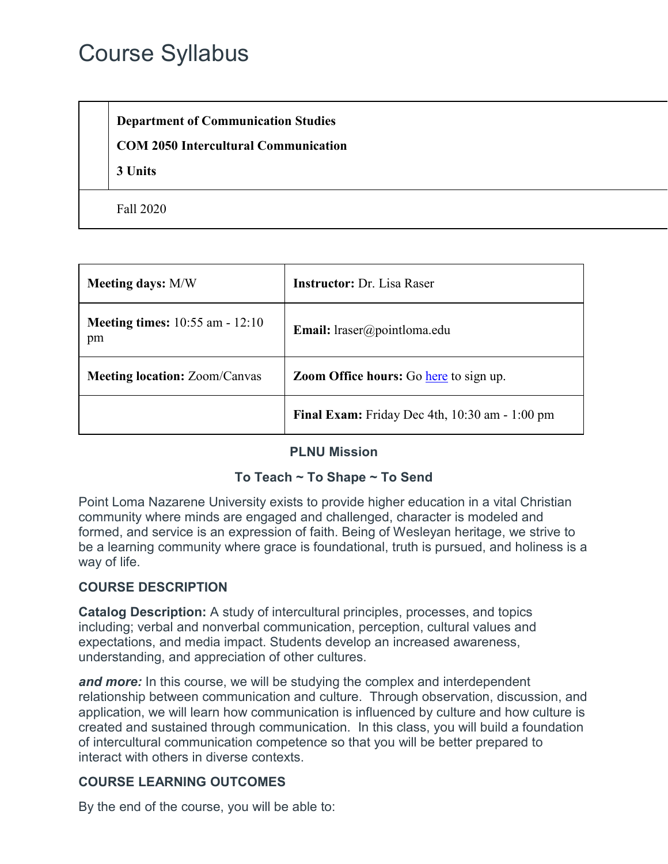# Course Syllabus

**Department of Communication Studies**

#### **COM 2050 Intercultural Communication**

**3 Units**

Fall 2020

| <b>Meeting days: M/W</b>                     | <b>Instructor:</b> Dr. Lisa Raser              |  |
|----------------------------------------------|------------------------------------------------|--|
| <b>Meeting times:</b> 10:55 am - 12:10<br>pm | <b>Email:</b> lraser@pointloma.edu             |  |
| <b>Meeting location: Zoom/Canvas</b>         | Zoom Office hours: Go here to sign up.         |  |
|                                              | Final Exam: Friday Dec 4th, 10:30 am - 1:00 pm |  |

#### **PLNU Mission**

#### **To Teach ~ To Shape ~ To Send**

Point Loma Nazarene University exists to provide higher education in a vital Christian community where minds are engaged and challenged, character is modeled and formed, and service is an expression of faith. Being of Wesleyan heritage, we strive to be a learning community where grace is foundational, truth is pursued, and holiness is a way of life.

#### **COURSE DESCRIPTION**

**Catalog Description:** A study of intercultural principles, processes, and topics including; verbal and nonverbal communication, perception, cultural values and expectations, and media impact. Students develop an increased awareness, understanding, and appreciation of other cultures.

*and more:* In this course, we will be studying the complex and interdependent relationship between communication and culture. Through observation, discussion, and application, we will learn how communication is influenced by culture and how culture is created and sustained through communication. In this class, you will build a foundation of intercultural communication competence so that you will be better prepared to interact with others in diverse contexts.

# **COURSE LEARNING OUTCOMES**

By the end of the course, you will be able to: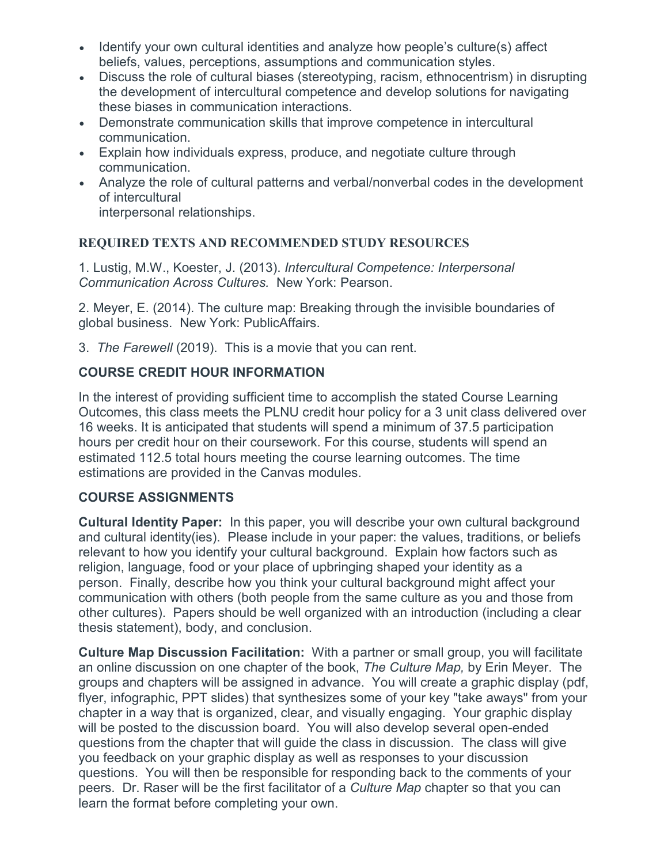- Identify your own cultural identities and analyze how people's culture(s) affect beliefs, values, perceptions, assumptions and communication styles.
- Discuss the role of cultural biases (stereotyping, racism, ethnocentrism) in disrupting the development of intercultural competence and develop solutions for navigating these biases in communication interactions.
- Demonstrate communication skills that improve competence in intercultural communication.
- Explain how individuals express, produce, and negotiate culture through communication.
- Analyze the role of cultural patterns and verbal/nonverbal codes in the development of intercultural

interpersonal relationships.

#### **REQUIRED TEXTS AND RECOMMENDED STUDY RESOURCES**

1. Lustig, M.W., Koester, J. (2013). *Intercultural Competence: Interpersonal Communication Across Cultures.* New York: Pearson.

2. Meyer, E. (2014). The culture map: Breaking through the invisible boundaries of global business. New York: PublicAffairs.

3. *The Farewell* (2019). This is a movie that you can rent.

# **COURSE CREDIT HOUR INFORMATION**

In the interest of providing sufficient time to accomplish the stated Course Learning Outcomes, this class meets the PLNU credit hour policy for a 3 unit class delivered over 16 weeks. It is anticipated that students will spend a minimum of 37.5 participation hours per credit hour on their coursework. For this course, students will spend an estimated 112.5 total hours meeting the course learning outcomes. The time estimations are provided in the Canvas modules.

#### **COURSE ASSIGNMENTS**

**Cultural Identity Paper:** In this paper, you will describe your own cultural background and cultural identity(ies). Please include in your paper: the values, traditions, or beliefs relevant to how you identify your cultural background. Explain how factors such as religion, language, food or your place of upbringing shaped your identity as a person. Finally, describe how you think your cultural background might affect your communication with others (both people from the same culture as you and those from other cultures). Papers should be well organized with an introduction (including a clear thesis statement), body, and conclusion.

**Culture Map Discussion Facilitation:** With a partner or small group, you will facilitate an online discussion on one chapter of the book, *The Culture Map,* by Erin Meyer. The groups and chapters will be assigned in advance. You will create a graphic display (pdf, flyer, infographic, PPT slides) that synthesizes some of your key "take aways" from your chapter in a way that is organized, clear, and visually engaging. Your graphic display will be posted to the discussion board. You will also develop several open-ended questions from the chapter that will guide the class in discussion. The class will give you feedback on your graphic display as well as responses to your discussion questions. You will then be responsible for responding back to the comments of your peers. Dr. Raser will be the first facilitator of a *Culture Map* chapter so that you can learn the format before completing your own.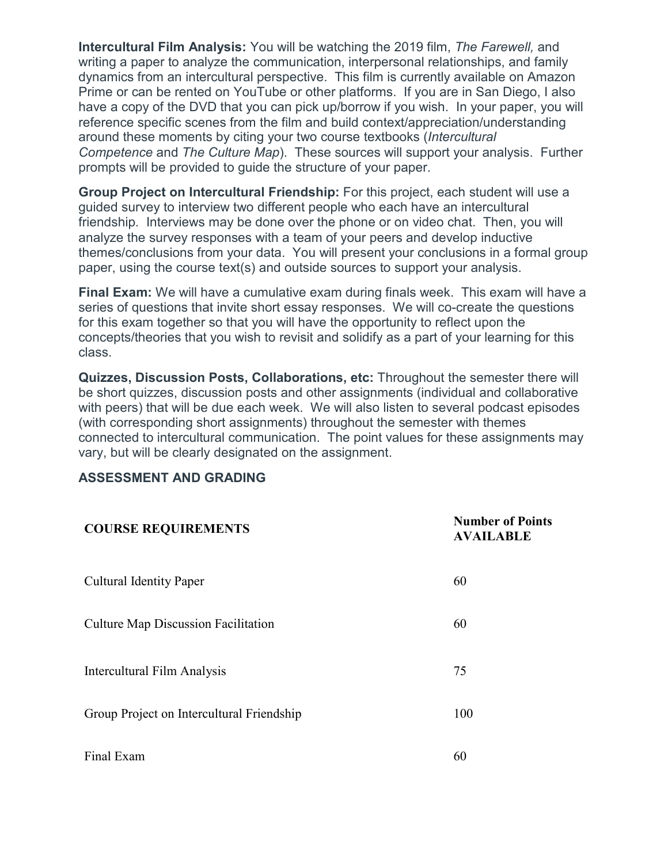**Intercultural Film Analysis:** You will be watching the 2019 film, *The Farewell,* and writing a paper to analyze the communication, interpersonal relationships, and family dynamics from an intercultural perspective. This film is currently available on Amazon Prime or can be rented on YouTube or other platforms. If you are in San Diego, I also have a copy of the DVD that you can pick up/borrow if you wish. In your paper, you will reference specific scenes from the film and build context/appreciation/understanding around these moments by citing your two course textbooks (*Intercultural Competence* and *The Culture Map*). These sources will support your analysis. Further prompts will be provided to guide the structure of your paper.

**Group Project on Intercultural Friendship:** For this project, each student will use a guided survey to interview two different people who each have an intercultural friendship. Interviews may be done over the phone or on video chat. Then, you will analyze the survey responses with a team of your peers and develop inductive themes/conclusions from your data. You will present your conclusions in a formal group paper, using the course text(s) and outside sources to support your analysis.

**Final Exam:** We will have a cumulative exam during finals week. This exam will have a series of questions that invite short essay responses. We will co-create the questions for this exam together so that you will have the opportunity to reflect upon the concepts/theories that you wish to revisit and solidify as a part of your learning for this class.

**Quizzes, Discussion Posts, Collaborations, etc:** Throughout the semester there will be short quizzes, discussion posts and other assignments (individual and collaborative with peers) that will be due each week. We will also listen to several podcast episodes (with corresponding short assignments) throughout the semester with themes connected to intercultural communication. The point values for these assignments may vary, but will be clearly designated on the assignment.

#### **ASSESSMENT AND GRADING**

| <b>COURSE REQUIREMENTS</b>                 | <b>Number of Points</b><br><b>AVAILABLE</b> |
|--------------------------------------------|---------------------------------------------|
| <b>Cultural Identity Paper</b>             | 60                                          |
| <b>Culture Map Discussion Facilitation</b> | 60                                          |
| Intercultural Film Analysis                | 75                                          |
| Group Project on Intercultural Friendship  | 100                                         |
| Final Exam                                 | 60                                          |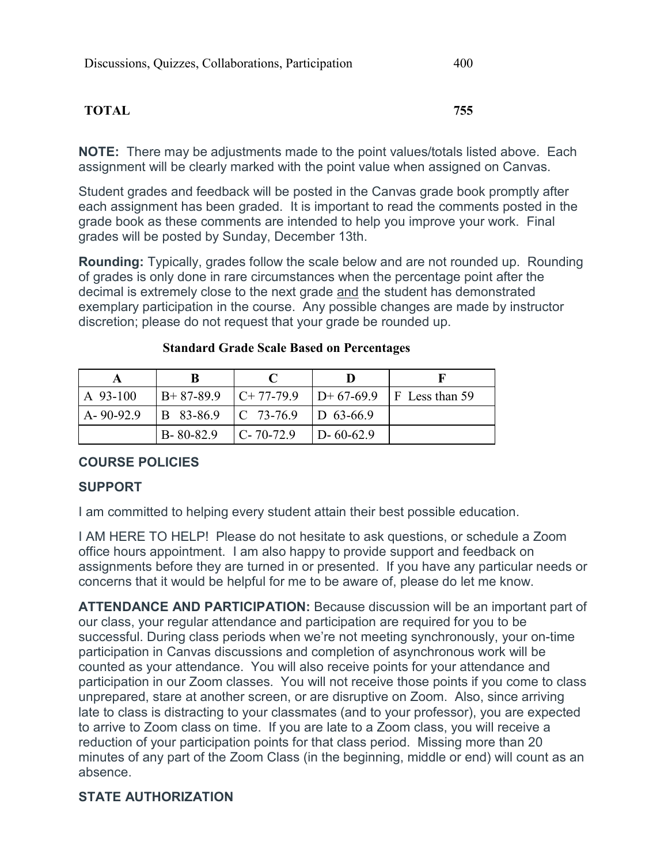#### **TOTAL 755**

**NOTE:** There may be adjustments made to the point values/totals listed above. Each assignment will be clearly marked with the point value when assigned on Canvas.

Student grades and feedback will be posted in the Canvas grade book promptly after each assignment has been graded. It is important to read the comments posted in the grade book as these comments are intended to help you improve your work. Final grades will be posted by Sunday, December 13th.

**Rounding:** Typically, grades follow the scale below and are not rounded up. Rounding of grades is only done in rare circumstances when the percentage point after the decimal is extremely close to the next grade and the student has demonstrated exemplary participation in the course. Any possible changes are made by instructor discretion; please do not request that your grade be rounded up.

| $A$ 93-100    | $B+87-89.9$ $C+77-79.9$ |                                       |                     | $ D+67-69.9 F$ Less than 59 |
|---------------|-------------------------|---------------------------------------|---------------------|-----------------------------|
| $A - 90-92.9$ |                         | $ B\ 83-86.9\ C\ 73-76.9\ D\ 63-66.9$ |                     |                             |
|               | $B - 80 - 82.9$         | $C - 70 - 72.9$                       | $\text{1D-60-62.9}$ |                             |

#### **Standard Grade Scale Based on Percentages**

#### **COURSE POLICIES**

#### **SUPPORT**

I am committed to helping every student attain their best possible education.

I AM HERE TO HELP! Please do not hesitate to ask questions, or schedule a Zoom office hours appointment. I am also happy to provide support and feedback on assignments before they are turned in or presented. If you have any particular needs or concerns that it would be helpful for me to be aware of, please do let me know.

**ATTENDANCE AND PARTICIPATION:** Because discussion will be an important part of our class, your regular attendance and participation are required for you to be successful. During class periods when we're not meeting synchronously, your on-time participation in Canvas discussions and completion of asynchronous work will be counted as your attendance. You will also receive points for your attendance and participation in our Zoom classes. You will not receive those points if you come to class unprepared, stare at another screen, or are disruptive on Zoom. Also, since arriving late to class is distracting to your classmates (and to your professor), you are expected to arrive to Zoom class on time. If you are late to a Zoom class, you will receive a reduction of your participation points for that class period. Missing more than 20 minutes of any part of the Zoom Class (in the beginning, middle or end) will count as an absence.

#### **STATE AUTHORIZATION**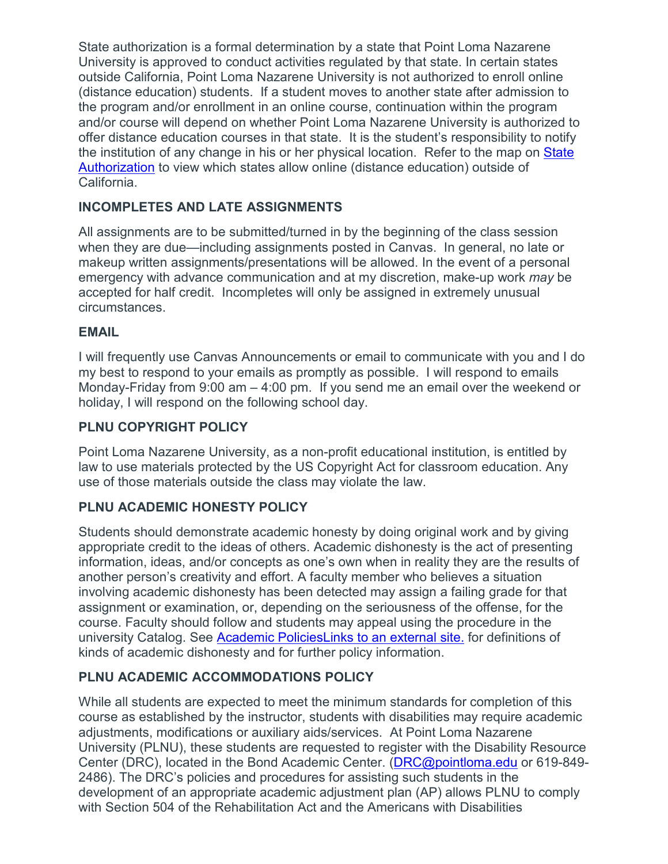State authorization is a formal determination by a state that Point Loma Nazarene University is approved to conduct activities regulated by that state. In certain states outside California, Point Loma Nazarene University is not authorized to enroll online (distance education) students. If a student moves to another state after admission to the program and/or enrollment in an online course, continuation within the program and/or course will depend on whether Point Loma Nazarene University is authorized to offer distance education courses in that state. It is the student's responsibility to notify the institution of any change in his or her physical location. Refer to the map on [State](https://www.pointloma.edu/offices/office-institutional-effectiveness-research/disclosures)  [Authorization](https://www.pointloma.edu/offices/office-institutional-effectiveness-research/disclosures) to view which states allow online (distance education) outside of California.

#### **INCOMPLETES AND LATE ASSIGNMENTS**

All assignments are to be submitted/turned in by the beginning of the class session when they are due—including assignments posted in Canvas. In general, no late or makeup written assignments/presentations will be allowed. In the event of a personal emergency with advance communication and at my discretion, make-up work *may* be accepted for half credit. Incompletes will only be assigned in extremely unusual circumstances.

#### **EMAIL**

I will frequently use Canvas Announcements or email to communicate with you and I do my best to respond to your emails as promptly as possible. I will respond to emails Monday-Friday from 9:00 am – 4:00 pm. If you send me an email over the weekend or holiday, I will respond on the following school day.

#### **PLNU COPYRIGHT POLICY**

Point Loma Nazarene University, as a non-profit educational institution, is entitled by law to use materials protected by the US Copyright Act for classroom education. Any use of those materials outside the class may violate the law.

#### **PLNU ACADEMIC HONESTY POLICY**

Students should demonstrate academic honesty by doing original work and by giving appropriate credit to the ideas of others. Academic dishonesty is the act of presenting information, ideas, and/or concepts as one's own when in reality they are the results of another person's creativity and effort. A faculty member who believes a situation involving academic dishonesty has been detected may assign a failing grade for that assignment or examination, or, depending on the seriousness of the offense, for the course. Faculty should follow and students may appeal using the procedure in the university Catalog. See [Academic PoliciesLinks](http://catalog.pointloma.edu/content.php?catoid=18&navoid=1278) to an external site. for definitions of kinds of academic dishonesty and for further policy information.

#### **PLNU ACADEMIC ACCOMMODATIONS POLICY**

While all students are expected to meet the minimum standards for completion of this course as established by the instructor, students with disabilities may require academic adjustments, modifications or auxiliary aids/services. At Point Loma Nazarene University (PLNU), these students are requested to register with the Disability Resource Center (DRC), located in the Bond Academic Center. [\(DRC@pointloma.edu](mailto:DRC@pointloma.edu) or 619-849- 2486). The DRC's policies and procedures for assisting such students in the development of an appropriate academic adjustment plan (AP) allows PLNU to comply with Section 504 of the Rehabilitation Act and the Americans with Disabilities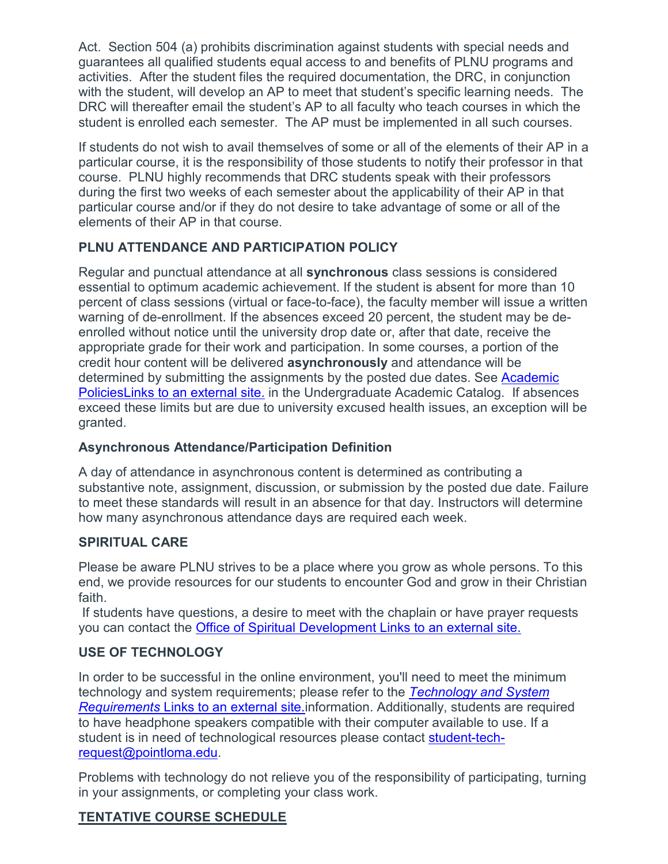Act. Section 504 (a) prohibits discrimination against students with special needs and guarantees all qualified students equal access to and benefits of PLNU programs and activities. After the student files the required documentation, the DRC, in conjunction with the student, will develop an AP to meet that student's specific learning needs. The DRC will thereafter email the student's AP to all faculty who teach courses in which the student is enrolled each semester. The AP must be implemented in all such courses.

If students do not wish to avail themselves of some or all of the elements of their AP in a particular course, it is the responsibility of those students to notify their professor in that course. PLNU highly recommends that DRC students speak with their professors during the first two weeks of each semester about the applicability of their AP in that particular course and/or if they do not desire to take advantage of some or all of the elements of their AP in that course.

# **PLNU ATTENDANCE AND PARTICIPATION POLICY**

Regular and punctual attendance at all **synchronous** class sessions is considered essential to optimum academic achievement. If the student is absent for more than 10 percent of class sessions (virtual or face-to-face), the faculty member will issue a written warning of de-enrollment. If the absences exceed 20 percent, the student may be deenrolled without notice until the university drop date or, after that date, receive the appropriate grade for their work and participation. In some courses, a portion of the credit hour content will be delivered **asynchronously** and attendance will be determined by submitting the assignments by the posted due dates. See [Academic](https://catalog.pointloma.edu/content.php?catoid=46&navoid=2650#Class_Attendance)  [PoliciesLinks](https://catalog.pointloma.edu/content.php?catoid=46&navoid=2650#Class_Attendance) to an external site. in the Undergraduate Academic Catalog. If absences exceed these limits but are due to university excused health issues, an exception will be granted.

# **Asynchronous Attendance/Participation Definition**

A day of attendance in asynchronous content is determined as contributing a substantive note, assignment, discussion, or submission by the posted due date. Failure to meet these standards will result in an absence for that day. Instructors will determine how many asynchronous attendance days are required each week.

# **SPIRITUAL CARE**

Please be aware PLNU strives to be a place where you grow as whole persons. To this end, we provide resources for our students to encounter God and grow in their Christian faith.

If students have questions, a desire to meet with the chaplain or have prayer requests you can contact the [Office of Spiritual Development](https://www.pointloma.edu/offices/spiritual-development) Links to an external site.

# **USE OF TECHNOLOGY**

In order to be successful in the online environment, you'll need to meet the minimum technology and system requirements; please refer to the *[Technology and System](https://help.pointloma.edu/TDClient/1808/Portal/KB/ArticleDet?ID=108349)  [Requirements](https://help.pointloma.edu/TDClient/1808/Portal/KB/ArticleDet?ID=108349)* Links to an external site.information. Additionally, students are required to have headphone speakers compatible with their computer available to use. If a student is in need of technological resources please contact [student-tech](mailto:student-tech-request@pointloma.edu)[request@pointloma.edu.](mailto:student-tech-request@pointloma.edu)

Problems with technology do not relieve you of the responsibility of participating, turning in your assignments, or completing your class work.

# **TENTATIVE COURSE SCHEDULE**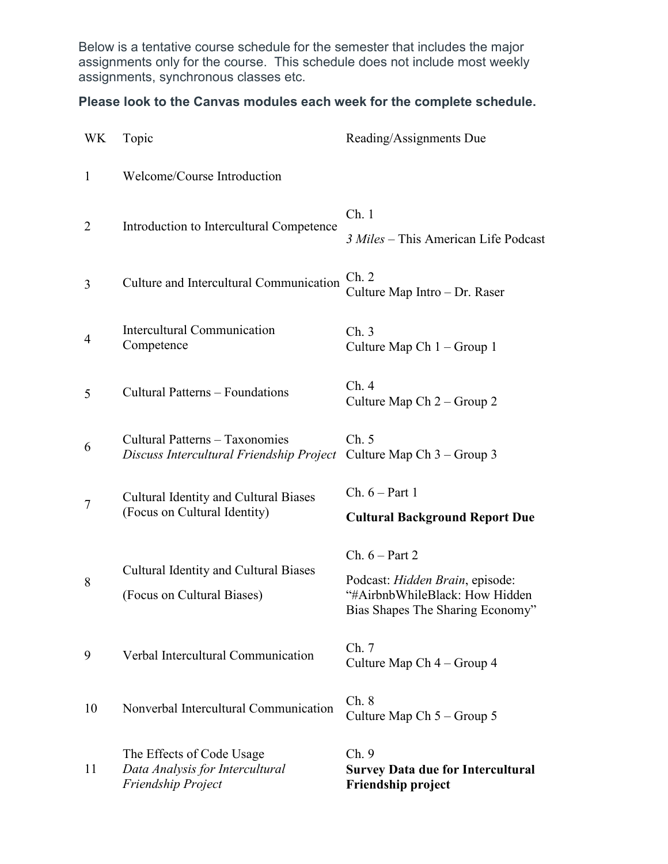Below is a tentative course schedule for the semester that includes the major assignments only for the course. This schedule does not include most weekly assignments, synchronous classes etc.

# **Please look to the Canvas modules each week for the complete schedule.**

| <b>WK</b>      | Topic                                                                              | Reading/Assignments Due                                                                                                   |
|----------------|------------------------------------------------------------------------------------|---------------------------------------------------------------------------------------------------------------------------|
| $\mathbf{1}$   | Welcome/Course Introduction                                                        |                                                                                                                           |
| 2              | Introduction to Intercultural Competence                                           | Ch.1<br>3 Miles - This American Life Podcast                                                                              |
| 3              | Culture and Intercultural Communication                                            | Ch. 2<br>Culture Map Intro - Dr. Raser                                                                                    |
| $\overline{4}$ | Intercultural Communication<br>Competence                                          | Ch.3<br>Culture Map Ch $1 -$ Group 1                                                                                      |
| 5              | Cultural Patterns - Foundations                                                    | Ch.4<br>Culture Map Ch 2 – Group 2                                                                                        |
| 6              | Cultural Patterns - Taxonomies<br>Discuss Intercultural Friendship Project         | Ch. 5<br>Culture Map Ch $3 -$ Group 3                                                                                     |
| 7              | <b>Cultural Identity and Cultural Biases</b><br>(Focus on Cultural Identity)       | Ch. $6 - Part 1$<br><b>Cultural Background Report Due</b>                                                                 |
| 8              | <b>Cultural Identity and Cultural Biases</b><br>(Focus on Cultural Biases)         | Ch. $6$ – Part 2<br>Podcast: Hidden Brain, episode:<br>"#AirbnbWhileBlack: How Hidden<br>Bias Shapes The Sharing Economy" |
| 9              | Verbal Intercultural Communication                                                 | Ch.7<br>Culture Map Ch 4 – Group 4                                                                                        |
| 10             | Nonverbal Intercultural Communication                                              | Ch.8<br>Culture Map Ch $5 -$ Group 5                                                                                      |
| 11             | The Effects of Code Usage<br>Data Analysis for Intercultural<br>Friendship Project | Ch.9<br><b>Survey Data due for Intercultural</b><br>Friendship project                                                    |